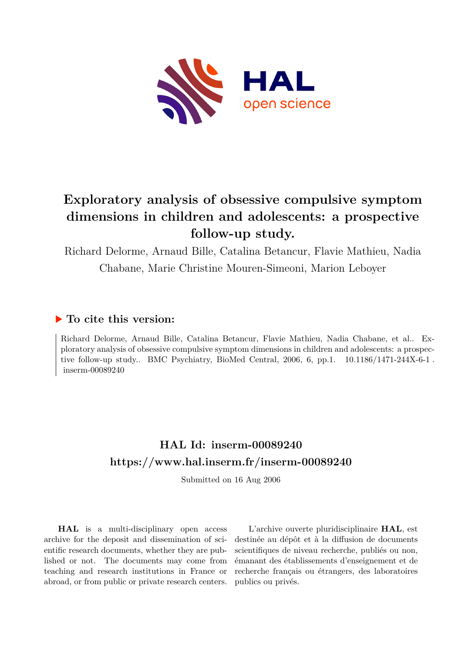

# **Exploratory analysis of obsessive compulsive symptom dimensions in children and adolescents: a prospective follow-up study.**

Richard Delorme, Arnaud Bille, Catalina Betancur, Flavie Mathieu, Nadia Chabane, Marie Christine Mouren-Simeoni, Marion Leboyer

## **To cite this version:**

Richard Delorme, Arnaud Bille, Catalina Betancur, Flavie Mathieu, Nadia Chabane, et al.. Exploratory analysis of obsessive compulsive symptom dimensions in children and adolescents: a prospective follow-up study.. BMC Psychiatry, BioMed Central,  $2006, 6$ , pp.1.  $10.1186/1471-244X-6-1$ .  $inserm-00089240$ 

# **HAL Id: inserm-00089240 <https://www.hal.inserm.fr/inserm-00089240>**

Submitted on 16 Aug 2006

**HAL** is a multi-disciplinary open access archive for the deposit and dissemination of scientific research documents, whether they are published or not. The documents may come from teaching and research institutions in France or abroad, or from public or private research centers.

L'archive ouverte pluridisciplinaire **HAL**, est destinée au dépôt et à la diffusion de documents scientifiques de niveau recherche, publiés ou non, émanant des établissements d'enseignement et de recherche français ou étrangers, des laboratoires publics ou privés.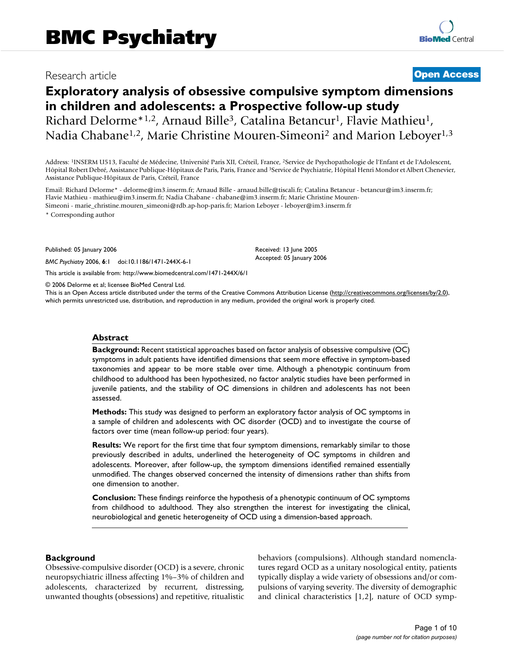### Research article **Contract Contract Contract Contract Contract Contract Contract Contract Contract Contract Contract Contract Contract Contract Contract Contract Contract Contract Contract Contract Contract Contract Contra**

# **Exploratory analysis of obsessive compulsive symptom dimensions in children and adolescents: a Prospective follow-up study** Richard Delorme<sup>\*1,2</sup>, Arnaud Bille<sup>3</sup>, Catalina Betancur<sup>1</sup>, Flavie Mathieu<sup>1</sup>, Nadia Chabane<sup>1,2</sup>, Marie Christine Mouren-Simeoni<sup>2</sup> and Marion Leboyer<sup>1,3</sup>

Address: <sup>1</sup>INSERM U513, Faculté de Médecine, Université Paris XII, Créteil, France, <sup>2</sup>Service de Psychopathologie de l'Enfant et de l'Adolescent, Hôpital Robert Debré, Assistance Publique-Hôpitaux de Paris, Paris, France and <sup>3</sup>Service de Psychiatrie, Hôpital Henri Mondor et Albert Chenevier, Assistance Publique-Hôpitaux de Paris, Créteil, France

Email: Richard Delorme\* - delorme@im3.inserm.fr; Arnaud Bille - arnaud.bille@tiscali.fr; Catalina Betancur - betancur@im3.inserm.fr; Flavie Mathieu - mathieu@im3.inserm.fr; Nadia Chabane - chabane@im3.inserm.fr; Marie Christine Mouren-Simeoni - marie\_christine.mouren\_simeoni@rdb.ap-hop-paris.fr; Marion Leboyer - leboyer@im3.inserm.fr

\* Corresponding author

Published: 05 January 2006

*BMC Psychiatry* 2006, **6**:1 doi:10.1186/1471-244X-6-1

[This article is available from: http://www.biomedcentral.com/1471-244X/6/1](http://www.biomedcentral.com/1471-244X/6/1)

© 2006 Delorme et al; licensee BioMed Central Ltd.

This is an Open Access article distributed under the terms of the Creative Commons Attribution License [\(http://creativecommons.org/licenses/by/2.0\)](http://creativecommons.org/licenses/by/2.0), which permits unrestricted use, distribution, and reproduction in any medium, provided the original work is properly cited.

Received: 13 June 2005 Accepted: 05 January 2006

#### **Abstract**

**Background:** Recent statistical approaches based on factor analysis of obsessive compulsive (OC) symptoms in adult patients have identified dimensions that seem more effective in symptom-based taxonomies and appear to be more stable over time. Although a phenotypic continuum from childhood to adulthood has been hypothesized, no factor analytic studies have been performed in juvenile patients, and the stability of OC dimensions in children and adolescents has not been assessed.

**Methods:** This study was designed to perform an exploratory factor analysis of OC symptoms in a sample of children and adolescents with OC disorder (OCD) and to investigate the course of factors over time (mean follow-up period: four years).

**Results:** We report for the first time that four symptom dimensions, remarkably similar to those previously described in adults, underlined the heterogeneity of OC symptoms in children and adolescents. Moreover, after follow-up, the symptom dimensions identified remained essentially unmodified. The changes observed concerned the intensity of dimensions rather than shifts from one dimension to another.

**Conclusion:** These findings reinforce the hypothesis of a phenotypic continuum of OC symptoms from childhood to adulthood. They also strengthen the interest for investigating the clinical, neurobiological and genetic heterogeneity of OCD using a dimension-based approach.

#### **Background**

Obsessive-compulsive disorder (OCD) is a severe, chronic neuropsychiatric illness affecting 1%–3% of children and adolescents, characterized by recurrent, distressing, unwanted thoughts (obsessions) and repetitive, ritualistic behaviors (compulsions). Although standard nomenclatures regard OCD as a unitary nosological entity, patients typically display a wide variety of obsessions and/or compulsions of varying severity. The diversity of demographic and clinical characteristics [1,2], nature of OCD symp-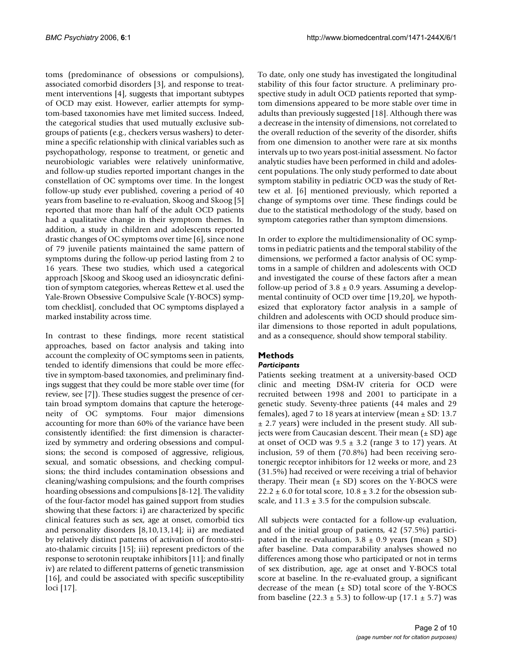toms (predominance of obsessions or compulsions), associated comorbid disorders [3], and response to treatment interventions [4], suggests that important subtypes of OCD may exist. However, earlier attempts for symptom-based taxonomies have met limited success. Indeed, the categorical studies that used mutually exclusive subgroups of patients (e.g., checkers versus washers) to determine a specific relationship with clinical variables such as psychopathology, response to treatment, or genetic and neurobiologic variables were relatively uninformative, and follow-up studies reported important changes in the constellation of OC symptoms over time. In the longest follow-up study ever published, covering a period of 40 years from baseline to re-evaluation, Skoog and Skoog [5] reported that more than half of the adult OCD patients had a qualitative change in their symptom themes. In addition, a study in children and adolescents reported drastic changes of OC symptoms over time [6], since none of 79 juvenile patients maintained the same pattern of symptoms during the follow-up period lasting from 2 to 16 years. These two studies, which used a categorical approach [Skoog and Skoog used an idiosyncratic definition of symptom categories, whereas Rettew et al. used the Yale-Brown Obsessive Compulsive Scale (Y-BOCS) symptom checklist], concluded that OC symptoms displayed a marked instability across time.

In contrast to these findings, more recent statistical approaches, based on factor analysis and taking into account the complexity of OC symptoms seen in patients, tended to identify dimensions that could be more effective in symptom-based taxonomies, and preliminary findings suggest that they could be more stable over time (for review, see [7]). These studies suggest the presence of certain broad symptom domains that capture the heterogeneity of OC symptoms. Four major dimensions accounting for more than 60% of the variance have been consistently identified: the first dimension is characterized by symmetry and ordering obsessions and compulsions; the second is composed of aggressive, religious, sexual, and somatic obsessions, and checking compulsions; the third includes contamination obsessions and cleaning/washing compulsions; and the fourth comprises hoarding obsessions and compulsions [8-12]. The validity of the four-factor model has gained support from studies showing that these factors: i) are characterized by specific clinical features such as sex, age at onset, comorbid tics and personality disorders [8,10,13,14]; ii) are mediated by relatively distinct patterns of activation of fronto-striato-thalamic circuits [15]; iii) represent predictors of the response to serotonin reuptake inhibitors [11]; and finally iv) are related to different patterns of genetic transmission [16], and could be associated with specific susceptibility loci [17].

To date, only one study has investigated the longitudinal stability of this four factor structure. A preliminary prospective study in adult OCD patients reported that symptom dimensions appeared to be more stable over time in adults than previously suggested [18]. Although there was a decrease in the intensity of dimensions, not correlated to the overall reduction of the severity of the disorder, shifts from one dimension to another were rare at six months intervals up to two years post-initial assessment. No factor analytic studies have been performed in child and adolescent populations. The only study performed to date about symptom stability in pediatric OCD was the study of Rettew et al. [6] mentioned previously, which reported a change of symptoms over time. These findings could be due to the statistical methodology of the study, based on symptom categories rather than symptom dimensions.

In order to explore the multidimensionality of OC symptoms in pediatric patients and the temporal stability of the dimensions, we performed a factor analysis of OC symptoms in a sample of children and adolescents with OCD and investigated the course of these factors after a mean follow-up period of  $3.8 \pm 0.9$  years. Assuming a developmental continuity of OCD over time [19,20], we hypothesized that exploratory factor analysis in a sample of children and adolescents with OCD should produce similar dimensions to those reported in adult populations, and as a consequence, should show temporal stability.

### **Methods**

#### *Participants*

Patients seeking treatment at a university-based OCD clinic and meeting DSM-IV criteria for OCD were recruited between 1998 and 2001 to participate in a genetic study. Seventy-three patients (44 males and 29 females), aged 7 to 18 years at interview (mean  $\pm$  SD: 13.7  $\pm$  2.7 years) were included in the present study. All subjects were from Caucasian descent. Their mean  $(\pm SD)$  age at onset of OCD was  $9.5 \pm 3.2$  (range 3 to 17) years. At inclusion, 59 of them (70.8%) had been receiving serotonergic receptor inhibitors for 12 weeks or more, and 23 (31.5%) had received or were receiving a trial of behavior therapy. Their mean  $(\pm SD)$  scores on the Y-BOCS were  $22.2 \pm 6.0$  for total score,  $10.8 \pm 3.2$  for the obsession subscale, and  $11.3 \pm 3.5$  for the compulsion subscale.

All subjects were contacted for a follow-up evaluation, and of the initial group of patients, 42 (57.5%) participated in the re-evaluation,  $3.8 \pm 0.9$  years (mean  $\pm$  SD) after baseline. Data comparability analyses showed no differences among those who participated or not in terms of sex distribution, age, age at onset and Y-BOCS total score at baseline. In the re-evaluated group, a significant decrease of the mean  $(\pm SD)$  total score of the Y-BOCS from baseline (22.3  $\pm$  5.3) to follow-up (17.1  $\pm$  5.7) was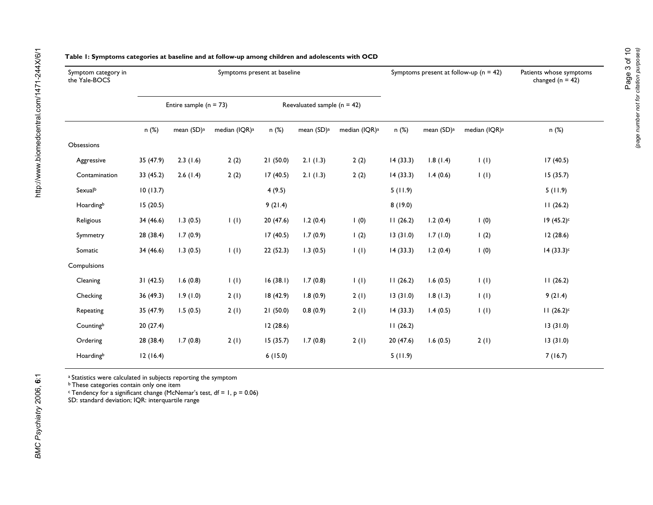*(page number not for citation purposes)*

| Symptom category in<br>the Yale-BOCS | Symptoms present at baseline |                        |                           |                                 |                        |                           | Symptoms present at follow-up ( $n = 42$ ) |                        |                           | Patients whose symptoms<br>changed ( $n = 42$ ) |
|--------------------------------------|------------------------------|------------------------|---------------------------|---------------------------------|------------------------|---------------------------|--------------------------------------------|------------------------|---------------------------|-------------------------------------------------|
|                                      | Entire sample ( $n = 73$ )   |                        |                           | Reevaluated sample ( $n = 42$ ) |                        |                           |                                            |                        |                           |                                                 |
|                                      | n (%)                        | mean (SD) <sup>a</sup> | median (IQR) <sup>a</sup> | n(%)                            | mean (SD) <sup>a</sup> | median (IQR) <sup>a</sup> | n (%)                                      | mean (SD) <sup>a</sup> | median (IQR) <sup>a</sup> | n (%)                                           |
| Obsessions                           |                              |                        |                           |                                 |                        |                           |                                            |                        |                           |                                                 |
| Aggressive                           | 35 (47.9)                    | 2.3(1.6)               | 2(2)                      | 21(50.0)                        | 2.1(1.3)               | 2(2)                      | 14(33.3)                                   | 1.8(1.4)               | $\mathbf{I}(\mathbf{I})$  | 17(40.5)                                        |
| Contamination                        | 33(45.2)                     | 2.6(1.4)               | 2(2)                      | 17(40.5)                        | 2.1(1.3)               | 2(2)                      | 14(33.3)                                   | 1.4(0.6)               | $\mathsf{I}(\mathsf{I})$  | 15(35.7)                                        |
| Sexualb                              | 10(13.7)                     |                        |                           | 4(9.5)                          |                        |                           | 5(11.9)                                    |                        |                           | 5(11.9)                                         |
| Hoardingb                            | 15(20.5)                     |                        |                           | 9(21.4)                         |                        |                           | 8(19.0)                                    |                        |                           | 11(26.2)                                        |
| Religious                            | 34 (46.6)                    | 1.3(0.5)               | I(I)                      | 20 (47.6)                       | 1.2(0.4)               | 1(0)                      | 11(26.2)                                   | 1.2(0.4)               | 1(0)                      | 19 (45.2) <sup>c</sup>                          |
| Symmetry                             | 28 (38.4)                    | 1.7(0.9)               |                           | 17(40.5)                        | 1.7(0.9)               | 1(2)                      | 13(31.0)                                   | 1.7(1.0)               | 1(2)                      | 12(28.6)                                        |
| Somatic                              | 34 (46.6)                    | 1.3(0.5)               | 1(1)                      | 22(52.3)                        | 1.3(0.5)               | $\mathsf{I}(\mathsf{I})$  | 14(33.3)                                   | 1.2(0.4)               | 1(0)                      | $14(33.3)^c$                                    |
| Compulsions                          |                              |                        |                           |                                 |                        |                           |                                            |                        |                           |                                                 |
| Cleaning                             | 31(42.5)                     | 1.6(0.8)               | $\mathsf{I}(\mathsf{I})$  | 16(38.1)                        | 1.7(0.8)               | $\mathsf{I}(\mathsf{I})$  | 11(26.2)                                   | 1.6(0.5)               | 1(1)                      | 11(26.2)                                        |
| Checking                             | 36(49.3)                     | 1.9(1.0)               | 2(1)                      | 18 (42.9)                       | 1.8(0.9)               | 2(1)                      | 13(31.0)                                   | 1.8(1.3)               | $\mathsf{I}(\mathsf{I})$  | 9(21.4)                                         |
| Repeating                            | 35 (47.9)                    | 1.5(0.5)               | 2(1)                      | 21(50.0)                        | 0.8(0.9)               | 2(1)                      | 14(33.3)                                   | 1.4(0.5)               | $\mathsf{I}(\mathsf{I})$  | $11 (26.2)^c$                                   |
| Countingb                            | 20(27.4)                     |                        |                           | 12(28.6)                        |                        |                           | 11(26.2)                                   |                        |                           | 13(31.0)                                        |
| Ordering                             | 28 (38.4)                    | 1.7(0.8)               | 2(1)                      | 15(35.7)                        | 1.7(0.8)               | 2(1)                      | 20(47.6)                                   | 1.6(0.5)               | 2(1)                      | 13(31.0)                                        |
| Hoardingb                            | 12(16.4)                     |                        |                           | 6(15.0)                         |                        |                           | 5(11.9)                                    |                        |                           | 7(16.7)                                         |

#### **Table 1: Symptoms categories at baseline and at follow-up among children and adolescents with OCD**

<sup>a</sup> Statistics were calculated in subjects reporting the symptom

**b**These categories contain only one item

Tendency for a significant change (McNemar's test,  $df = 1$ ,  $p = 0.06$ )

SD: standard deviation; IQR: interquartile range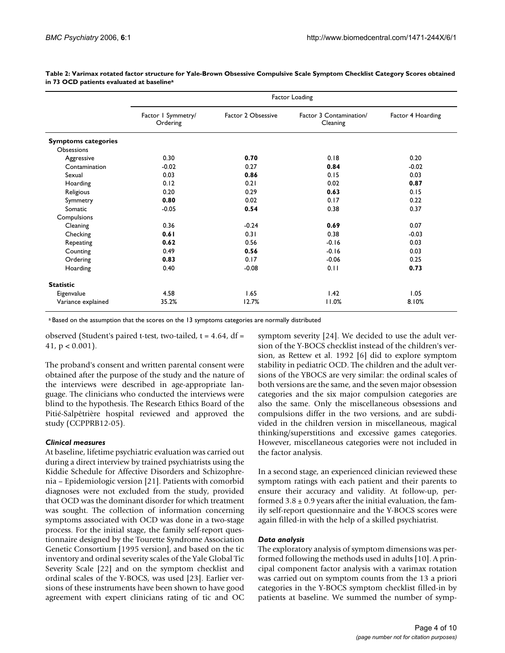|                            | Factor Loading                 |                    |                                     |                   |  |  |
|----------------------------|--------------------------------|--------------------|-------------------------------------|-------------------|--|--|
|                            | Factor I Symmetry/<br>Ordering | Factor 2 Obsessive | Factor 3 Contamination/<br>Cleaning | Factor 4 Hoarding |  |  |
| <b>Symptoms categories</b> |                                |                    |                                     |                   |  |  |
| Obsessions                 |                                |                    |                                     |                   |  |  |
| Aggressive                 | 0.30                           | 0.70               | 0.18                                | 0.20              |  |  |
| Contamination              | $-0.02$                        | 0.27               | 0.84                                | $-0.02$           |  |  |
| Sexual                     | 0.03                           | 0.86               | 0.15                                | 0.03              |  |  |
| Hoarding                   | 0.12                           | 0.21               | 0.02                                | 0.87              |  |  |
| Religious                  | 0.20                           | 0.29               | 0.63                                | 0.15              |  |  |
| Symmetry                   | 0.80                           | 0.02               | 0.17                                | 0.22              |  |  |
| Somatic                    | $-0.05$                        | 0.54               | 0.38                                | 0.37              |  |  |
| Compulsions                |                                |                    |                                     |                   |  |  |
| Cleaning                   | 0.36                           | $-0.24$            | 0.69                                | 0.07              |  |  |
| Checking                   | 0.61                           | 0.31               | 0.38                                | $-0.03$           |  |  |
| Repeating                  | 0.62                           | 0.56               | $-0.16$                             | 0.03              |  |  |
| Counting                   | 0.49                           | 0.56               | $-0.16$                             | 0.03              |  |  |
| Ordering                   | 0.83                           | 0.17               | $-0.06$                             | 0.25              |  |  |
| Hoarding                   | 0.40                           | $-0.08$            | 0.11                                | 0.73              |  |  |
| <b>Statistic</b>           |                                |                    |                                     |                   |  |  |
| Eigenvalue                 | 4.58                           | 1.65               | 1.42                                | 1.05              |  |  |
| Variance explained         | 35.2%                          | 12.7%              | 11.0%                               | 8.10%             |  |  |

**Table 2: Varimax rotated factor structure for Yale-Brown Obsessive Compulsive Scale Symptom Checklist Category Scores obtained in 73 OCD patients evaluated at baseline<sup>a</sup>**

a Based on the assumption that the scores on the 13 symptoms categories are normally distributed

observed (Student's paired t-test, two-tailed,  $t = 4.64$ , df = 41,  $p < 0.001$ ).

The proband's consent and written parental consent were obtained after the purpose of the study and the nature of the interviews were described in age-appropriate language. The clinicians who conducted the interviews were blind to the hypothesis. The Research Ethics Board of the Pitié-Salpêtrière hospital reviewed and approved the study (CCPPRB12-05).

#### *Clinical measures*

At baseline, lifetime psychiatric evaluation was carried out during a direct interview by trained psychiatrists using the Kiddie Schedule for Affective Disorders and Schizophrenia – Epidemiologic version [21]. Patients with comorbid diagnoses were not excluded from the study, provided that OCD was the dominant disorder for which treatment was sought. The collection of information concerning symptoms associated with OCD was done in a two-stage process. For the initial stage, the family self-report questionnaire designed by the Tourette Syndrome Association Genetic Consortium [1995 version], and based on the tic inventory and ordinal severity scales of the Yale Global Tic Severity Scale [22] and on the symptom checklist and ordinal scales of the Y-BOCS, was used [23]. Earlier versions of these instruments have been shown to have good agreement with expert clinicians rating of tic and OC symptom severity [24]. We decided to use the adult version of the Y-BOCS checklist instead of the children's version, as Rettew et al. 1992 [6] did to explore symptom stability in pediatric OCD. The children and the adult versions of the YBOCS are very similar: the ordinal scales of both versions are the same, and the seven major obsession categories and the six major compulsion categories are also the same. Only the miscellaneous obsessions and compulsions differ in the two versions, and are subdivided in the children version in miscellaneous, magical thinking/superstitions and excessive games categories. However, miscellaneous categories were not included in the factor analysis.

In a second stage, an experienced clinician reviewed these symptom ratings with each patient and their parents to ensure their accuracy and validity. At follow-up, performed  $3.8 \pm 0.9$  years after the initial evaluation, the family self-report questionnaire and the Y-BOCS scores were again filled-in with the help of a skilled psychiatrist.

#### *Data analysis*

The exploratory analysis of symptom dimensions was performed following the methods used in adults [10]. A principal component factor analysis with a varimax rotation was carried out on symptom counts from the 13 a priori categories in the Y-BOCS symptom checklist filled-in by patients at baseline. We summed the number of symp-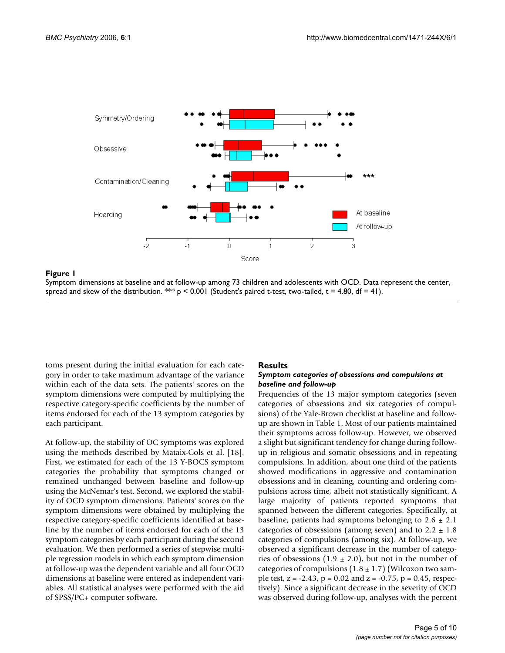

Symptom dimensions at baseline and at follow-up among 73 children and adolescents with OCD. Data represent the center, spread and skew of the distribution. \*\*\* p < 0.001 (Student's paired t-test, two-tailed, t = 4.80, df = 41).

toms present during the initial evaluation for each category in order to take maximum advantage of the variance within each of the data sets. The patients' scores on the symptom dimensions were computed by multiplying the respective category-specific coefficients by the number of items endorsed for each of the 13 symptom categories by each participant.

At follow-up, the stability of OC symptoms was explored using the methods described by Mataix-Cols et al. [18]. First, we estimated for each of the 13 Y-BOCS symptom categories the probability that symptoms changed or remained unchanged between baseline and follow-up using the McNemar's test. Second, we explored the stability of OCD symptom dimensions. Patients' scores on the symptom dimensions were obtained by multiplying the respective category-specific coefficients identified at baseline by the number of items endorsed for each of the 13 symptom categories by each participant during the second evaluation. We then performed a series of stepwise multiple regression models in which each symptom dimension at follow-up was the dependent variable and all four OCD dimensions at baseline were entered as independent variables. All statistical analyses were performed with the aid of SPSS/PC+ computer software.

#### **Results**

#### *Symptom categories of obsessions and compulsions at baseline and follow-up*

Frequencies of the 13 major symptom categories (seven categories of obsessions and six categories of compulsions) of the Yale-Brown checklist at baseline and followup are shown in Table 1. Most of our patients maintained their symptoms across follow-up. However, we observed a slight but significant tendency for change during followup in religious and somatic obsessions and in repeating compulsions. In addition, about one third of the patients showed modifications in aggressive and contamination obsessions and in cleaning, counting and ordering compulsions across time, albeit not statistically significant. A large majority of patients reported symptoms that spanned between the different categories. Specifically, at baseline, patients had symptoms belonging to  $2.6 \pm 2.1$ categories of obsessions (among seven) and to  $2.2 \pm 1.8$ categories of compulsions (among six). At follow-up, we observed a significant decrease in the number of categories of obsessions  $(1.9 \pm 2.0)$ , but not in the number of categories of compulsions  $(1.8 \pm 1.7)$  (Wilcoxon two sample test,  $z = -2.43$ ,  $p = 0.02$  and  $z = -0.75$ ,  $p = 0.45$ , respectively). Since a significant decrease in the severity of OCD was observed during follow-up, analyses with the percent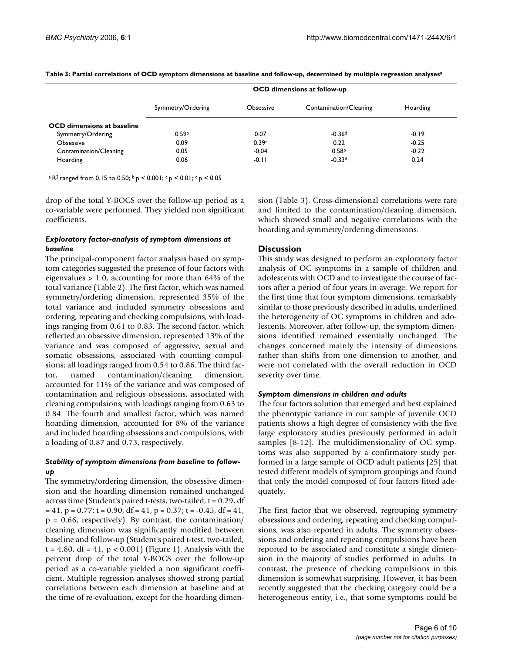|                                   | <b>OCD</b> dimensions at follow-up |                  |                        |          |  |  |  |
|-----------------------------------|------------------------------------|------------------|------------------------|----------|--|--|--|
|                                   | Symmetry/Ordering                  | <b>Obsessive</b> | Contamination/Cleaning | Hoarding |  |  |  |
| <b>OCD</b> dimensions at baseline |                                    |                  |                        |          |  |  |  |
| Symmetry/Ordering                 | 0.59 <sup>b</sup>                  | 0.07             | $-0.36d$               | $-0.19$  |  |  |  |
| Obsessive                         | 0.09                               | 0.39c            | 0.22                   | $-0.25$  |  |  |  |
| Contamination/Cleaning            | 0.05                               | $-0.04$          | 0.58 <sup>b</sup>      | $-0.22$  |  |  |  |
| Hoarding                          | 0.06                               | $-0.11$          | $-0.33d$               | 0.24     |  |  |  |

**Table 3: Partial correlations of OCD symptom dimensions at baseline and follow-up, determined by multiple regression analyses<sup>a</sup>**

a R<sup>2</sup> ranged from 0.15 to 0.50;  $b$  p < 0.001;  $c$  p < 0.01;  $d$  p < 0.05

drop of the total Y-BOCS over the follow-up period as a co-variable were performed. They yielded non significant coefficients.

#### *Exploratory factor-analysis of symptom dimensions at baseline*

The principal-component factor analysis based on symptom categories suggested the presence of four factors with eigenvalues > 1.0, accounting for more than 64% of the total variance (Table 2). The first factor, which was named symmetry/ordering dimension, represented 35% of the total variance and included symmetry obsessions and ordering, repeating and checking compulsions, with loadings ranging from 0.61 to 0.83. The second factor, which reflected an obsessive dimension, represented 13% of the variance and was composed of aggressive, sexual and somatic obsessions, associated with counting compulsions; all loadings ranged from 0.54 to 0.86. The third factor, named contamination/cleaning dimension, accounted for 11% of the variance and was composed of contamination and religious obsessions, associated with cleaning compulsions, with loadings ranging from 0.63 to 0.84. The fourth and smallest factor, which was named hoarding dimension, accounted for 8% of the variance and included hoarding obsessions and compulsions, with a loading of 0.87 and 0.73, respectively.

### *Stability of symptom dimensions from baseline to followup*

The symmetry/ordering dimension, the obsessive dimension and the hoarding dimension remained unchanged across time (Student's paired t-tests, two-tailed, t = 0.29, df  $= 41$ ,  $p = 0.77$ ;  $t = 0.90$ ,  $df = 41$ ,  $p = 0.37$ ;  $t = -0.45$ ,  $df = 41$ ,  $p = 0.66$ , respectively). By contrast, the contamination/ cleaning dimension was significantly modified between baseline and follow-up (Student's paired t-test, two-tailed,  $t = 4.80$ ,  $df = 41$ ,  $p < 0.001$ ) (Figure 1). Analysis with the percent drop of the total Y-BOCS over the follow-up period as a co-variable yielded a non significant coefficient. Multiple regression analyses showed strong partial correlations between each dimension at baseline and at the time of re-evaluation, except for the hoarding dimension (Table 3). Cross-dimensional correlations were rare and limited to the contamination/cleaning dimension, which showed small and negative correlations with the hoarding and symmetry/ordering dimensions.

### **Discussion**

This study was designed to perform an exploratory factor analysis of OC symptoms in a sample of children and adolescents with OCD and to investigate the course of factors after a period of four years in average. We report for the first time that four symptom dimensions, remarkably similar to those previously described in adults, underlined the heterogeneity of OC symptoms in children and adolescents. Moreover, after follow-up, the symptom dimensions identified remained essentially unchanged. The changes concerned mainly the intensity of dimensions rather than shifts from one dimension to another, and were not correlated with the overall reduction in OCD severity over time.

#### *Symptom dimensions in children and adults*

The four factors solution that emerged and best explained the phenotypic variance in our sample of juvenile OCD patients shows a high degree of consistency with the five large exploratory studies previously performed in adult samples [8-12]. The multidimensionality of OC symptoms was also supported by a confirmatory study performed in a large sample of OCD adult patients [25] that tested different models of symptom groupings and found that only the model composed of four factors fitted adequately.

The first factor that we observed, regrouping symmetry obsessions and ordering, repeating and checking compulsions, was also reported in adults. The symmetry obsessions and ordering and repeating compulsions have been reported to be associated and constitute a single dimension in the majority of studies performed in adults. In contrast, the presence of checking compulsions in this dimension is somewhat surprising. However, it has been recently suggested that the checking category could be a heterogeneous entity, i.e., that some symptoms could be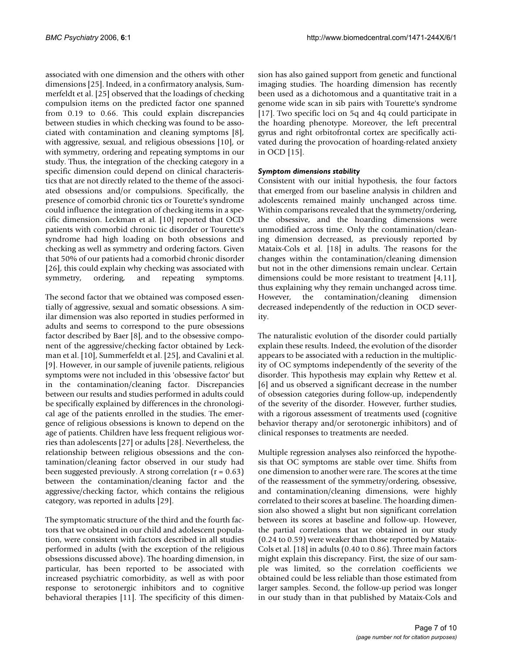associated with one dimension and the others with other dimensions [25]. Indeed, in a confirmatory analysis, Summerfeldt et al. [25] observed that the loadings of checking compulsion items on the predicted factor one spanned from 0.19 to 0.66. This could explain discrepancies between studies in which checking was found to be associated with contamination and cleaning symptoms [8], with aggressive, sexual, and religious obsessions [10], or with symmetry, ordering and repeating symptoms in our study. Thus, the integration of the checking category in a specific dimension could depend on clinical characteristics that are not directly related to the theme of the associated obsessions and/or compulsions. Specifically, the presence of comorbid chronic tics or Tourette's syndrome could influence the integration of checking items in a specific dimension. Leckman et al. [10] reported that OCD patients with comorbid chronic tic disorder or Tourette's syndrome had high loading on both obsessions and checking as well as symmetry and ordering factors. Given that 50% of our patients had a comorbid chronic disorder [26], this could explain why checking was associated with symmetry, ordering, and repeating symptoms.

The second factor that we obtained was composed essentially of aggressive, sexual and somatic obsessions. A similar dimension was also reported in studies performed in adults and seems to correspond to the pure obsessions factor described by Baer [8], and to the obsessive component of the aggressive/checking factor obtained by Leckman et al. [10], Summerfeldt et al. [25], and Cavalini et al. [9]. However, in our sample of juvenile patients, religious symptoms were not included in this 'obsessive factor' but in the contamination/cleaning factor. Discrepancies between our results and studies performed in adults could be specifically explained by differences in the chronological age of the patients enrolled in the studies. The emergence of religious obsessions is known to depend on the age of patients. Children have less frequent religious worries than adolescents [27] or adults [28]. Nevertheless, the relationship between religious obsessions and the contamination/cleaning factor observed in our study had been suggested previously. A strong correlation  $(r = 0.63)$ between the contamination/cleaning factor and the aggressive/checking factor, which contains the religious category, was reported in adults [29].

The symptomatic structure of the third and the fourth factors that we obtained in our child and adolescent population, were consistent with factors described in all studies performed in adults (with the exception of the religious obsessions discussed above). The hoarding dimension, in particular, has been reported to be associated with increased psychiatric comorbidity, as well as with poor response to serotonergic inhibitors and to cognitive behavioral therapies [11]. The specificity of this dimension has also gained support from genetic and functional imaging studies. The hoarding dimension has recently been used as a dichotomous and a quantitative trait in a genome wide scan in sib pairs with Tourette's syndrome [17]. Two specific loci on 5q and 4q could participate in the hoarding phenotype. Moreover, the left precentral gyrus and right orbitofrontal cortex are specifically activated during the provocation of hoarding-related anxiety in OCD [15].

#### *Symptom dimensions stability*

Consistent with our initial hypothesis, the four factors that emerged from our baseline analysis in children and adolescents remained mainly unchanged across time. Within comparisons revealed that the symmetry/ordering, the obsessive, and the hoarding dimensions were unmodified across time. Only the contamination/cleaning dimension decreased, as previously reported by Mataix-Cols et al. [18] in adults. The reasons for the changes within the contamination/cleaning dimension but not in the other dimensions remain unclear. Certain dimensions could be more resistant to treatment [4,11], thus explaining why they remain unchanged across time. However, the contamination/cleaning dimension decreased independently of the reduction in OCD severity.

The naturalistic evolution of the disorder could partially explain these results. Indeed, the evolution of the disorder appears to be associated with a reduction in the multiplicity of OC symptoms independently of the severity of the disorder. This hypothesis may explain why Rettew et al. [6] and us observed a significant decrease in the number of obsession categories during follow-up, independently of the severity of the disorder. However, further studies, with a rigorous assessment of treatments used (cognitive behavior therapy and/or serotonergic inhibitors) and of clinical responses to treatments are needed.

Multiple regression analyses also reinforced the hypothesis that OC symptoms are stable over time. Shifts from one dimension to another were rare. The scores at the time of the reassessment of the symmetry/ordering, obsessive, and contamination/cleaning dimensions, were highly correlated to their scores at baseline. The hoarding dimension also showed a slight but non significant correlation between its scores at baseline and follow-up. However, the partial correlations that we obtained in our study (0.24 to 0.59) were weaker than those reported by Mataix-Cols et al. [18] in adults (0.40 to 0.86). Three main factors might explain this discrepancy. First, the size of our sample was limited, so the correlation coefficients we obtained could be less reliable than those estimated from larger samples. Second, the follow-up period was longer in our study than in that published by Mataix-Cols and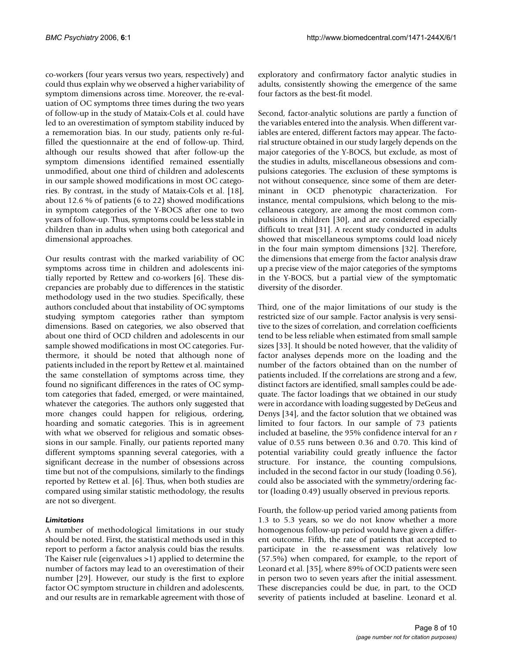co-workers (four years versus two years, respectively) and could thus explain why we observed a higher variability of symptom dimensions across time. Moreover, the re-evaluation of OC symptoms three times during the two years of follow-up in the study of Mataix-Cols et al. could have led to an overestimation of symptom stability induced by a rememoration bias. In our study, patients only re-fulfilled the questionnaire at the end of follow-up. Third, although our results showed that after follow-up the symptom dimensions identified remained essentially unmodified, about one third of children and adolescents in our sample showed modifications in most OC categories. By contrast, in the study of Mataix-Cols et al. [18], about 12.6 % of patients (6 to 22) showed modifications in symptom categories of the Y-BOCS after one to two years of follow-up. Thus, symptoms could be less stable in children than in adults when using both categorical and dimensional approaches.

Our results contrast with the marked variability of OC symptoms across time in children and adolescents initially reported by Rettew and co-workers [6]. These discrepancies are probably due to differences in the statistic methodology used in the two studies. Specifically, these authors concluded about that instability of OC symptoms studying symptom categories rather than symptom dimensions. Based on categories, we also observed that about one third of OCD children and adolescents in our sample showed modifications in most OC categories. Furthermore, it should be noted that although none of patients included in the report by Rettew et al. maintained the same constellation of symptoms across time, they found no significant differences in the rates of OC symptom categories that faded, emerged, or were maintained, whatever the categories. The authors only suggested that more changes could happen for religious, ordering, hoarding and somatic categories. This is in agreement with what we observed for religious and somatic obsessions in our sample. Finally, our patients reported many different symptoms spanning several categories, with a significant decrease in the number of obsessions across time but not of the compulsions, similarly to the findings reported by Rettew et al. [6]. Thus, when both studies are compared using similar statistic methodology, the results are not so divergent.

#### *Limitations*

A number of methodological limitations in our study should be noted. First, the statistical methods used in this report to perform a factor analysis could bias the results. The Kaiser rule (eigenvalues >1) applied to determine the number of factors may lead to an overestimation of their number [29]. However, our study is the first to explore factor OC symptom structure in children and adolescents, and our results are in remarkable agreement with those of exploratory and confirmatory factor analytic studies in adults, consistently showing the emergence of the same four factors as the best-fit model.

Second, factor-analytic solutions are partly a function of the variables entered into the analysis. When different variables are entered, different factors may appear. The factorial structure obtained in our study largely depends on the major categories of the Y-BOCS, but exclude, as most of the studies in adults, miscellaneous obsessions and compulsions categories. The exclusion of these symptoms is not without consequence, since some of them are determinant in OCD phenotypic characterization. For instance, mental compulsions, which belong to the miscellaneous category, are among the most common compulsions in children [30], and are considered especially difficult to treat [31]. A recent study conducted in adults showed that miscellaneous symptoms could load nicely in the four main symptom dimensions [32]. Therefore, the dimensions that emerge from the factor analysis draw up a precise view of the major categories of the symptoms in the Y-BOCS, but a partial view of the symptomatic diversity of the disorder.

Third, one of the major limitations of our study is the restricted size of our sample. Factor analysis is very sensitive to the sizes of correlation, and correlation coefficients tend to be less reliable when estimated from small sample sizes [33]. It should be noted however, that the validity of factor analyses depends more on the loading and the number of the factors obtained than on the number of patients included. If the correlations are strong and a few, distinct factors are identified, small samples could be adequate. The factor loadings that we obtained in our study were in accordance with loading suggested by DeGeus and Denys [34], and the factor solution that we obtained was limited to four factors. In our sample of 73 patients included at baseline, the 95% confidence interval for an *r* value of 0.55 runs between 0.36 and 0.70. This kind of potential variability could greatly influence the factor structure. For instance, the counting compulsions, included in the second factor in our study (loading 0.56), could also be associated with the symmetry/ordering factor (loading 0.49) usually observed in previous reports.

Fourth, the follow-up period varied among patients from 1.3 to 5.3 years, so we do not know whether a more homogenous follow-up period would have given a different outcome. Fifth, the rate of patients that accepted to participate in the re-assessment was relatively low (57.5%) when compared, for example, to the report of Leonard et al. [35], where 89% of OCD patients were seen in person two to seven years after the initial assessment. These discrepancies could be due, in part, to the OCD severity of patients included at baseline. Leonard et al.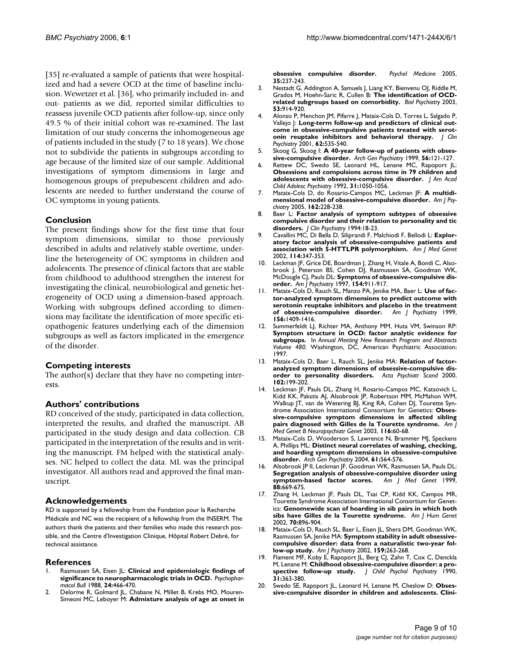[35] re-evaluated a sample of patients that were hospitalized and had a severe OCD at the time of baseline inclusion. Wewetzer et al. [36], who primarily included in- and out- patients as we did, reported similar difficulties to reassess juvenile OCD patients after follow-up, since only 49.5 % of their initial cohort was re-examined. The last limitation of our study concerns the inhomogeneous age of patients included in the study (7 to 18 years). We chose not to subdivide the patients in subgroups according to age because of the limited size of our sample. Additional investigations of symptom dimensions in large and homogenous groups of prepubescent children and adolescents are needed to further understand the course of OC symptoms in young patients.

#### **Conclusion**

The present findings show for the first time that four symptom dimensions, similar to those previously described in adults and relatively stable overtime, underline the heterogeneity of OC symptoms in children and adolescents. The presence of clinical factors that are stable from childhood to adulthood strengthen the interest for investigating the clinical, neurobiological and genetic heterogeneity of OCD using a dimension-based approach. Working with subgroups defined according to dimensions may facilitate the identification of more specific etiopathogenic features underlying each of the dimension subgroups as well as factors implicated in the emergence of the disorder.

#### **Competing interests**

The author(s) declare that they have no competing interests.

#### **Authors' contributions**

RD conceived of the study, participated in data collection, interpreted the results, and drafted the manuscript. AB participated in the study design and data collection. CB participated in the interpretation of the results and in writing the manuscript. FM helped with the statistical analyses. NC helped to collect the data. ML was the principal investigator. All authors read and approved the final manuscript.

#### **Acknowledgements**

RD is supported by a fellowship from the Fondation pour la Recherche Médicale and NC was the recipient of a fellowship from the INSERM. The authors thank the patients and their families who made this research possible, and the Centre d'Investigation Clinique, Hôpital Robert Debré, for technical assistance.

#### **References**

- 1. Rasmussen SA, Eisen JL: **[Clinical and epidemiologic findings of](http://www.ncbi.nlm.nih.gov/entrez/query.fcgi?cmd=Retrieve&db=PubMed&dopt=Abstract&list_uids=3153510) [significance to neuropharmacologic trials in OCD.](http://www.ncbi.nlm.nih.gov/entrez/query.fcgi?cmd=Retrieve&db=PubMed&dopt=Abstract&list_uids=3153510)** *Psychopharmacol Bull* 1988, **24:**466-470.
- 2. Delorme R, Golmard JL, Chabane N, Millet B, Krebs MO, Mouren-Simeoni MC, Leboyer M: **Admixture analysis of age at onset in**

**obsessive compulsive disorder.** *Psychol Medicine* 2005, **35:**237-243.

- 3. Nestadt G, Addington A, Samuels J, Liang KY, Bienvenu OJ, Riddle M, Grados M, Hoehn-Saric R, Cullen B: **[The identification of OCD](http://www.ncbi.nlm.nih.gov/entrez/query.fcgi?cmd=Retrieve&db=PubMed&dopt=Abstract&list_uids=12742679)[related subgroups based on comorbidity.](http://www.ncbi.nlm.nih.gov/entrez/query.fcgi?cmd=Retrieve&db=PubMed&dopt=Abstract&list_uids=12742679)** *Biol Psychiatry* 2003, **53:**914-920.
- 4. Alonso P, Menchon JM, Pifarre J, Mataix-Cols D, Torres L, Salgado P, Vallejo J: **[Long-term follow-up and predictors of clinical out](http://www.ncbi.nlm.nih.gov/entrez/query.fcgi?cmd=Retrieve&db=PubMed&dopt=Abstract&list_uids=11488364)[come in obsessive-compulsive patients treated with serot](http://www.ncbi.nlm.nih.gov/entrez/query.fcgi?cmd=Retrieve&db=PubMed&dopt=Abstract&list_uids=11488364)[onin reuptake inhibitors and behavioral therapy.](http://www.ncbi.nlm.nih.gov/entrez/query.fcgi?cmd=Retrieve&db=PubMed&dopt=Abstract&list_uids=11488364)** *J Clin Psychiatry* 2001, **62:**535-540.
- Skoog G, Skoog I: [A 40-year follow-up of patients with obses](http://www.ncbi.nlm.nih.gov/entrez/query.fcgi?cmd=Retrieve&db=PubMed&dopt=Abstract&list_uids=10025435)**[sive-compulsive disorder.](http://www.ncbi.nlm.nih.gov/entrez/query.fcgi?cmd=Retrieve&db=PubMed&dopt=Abstract&list_uids=10025435)** *Arch Gen Psychiatry* 1999, **56:**121-127.
- 6. Rettew DC, Swedo SE, Leonard HL, Lenane MC, Rapoport JL: **[Obsessions and compulsions across time in 79 children and](http://www.ncbi.nlm.nih.gov/entrez/query.fcgi?cmd=Retrieve&db=PubMed&dopt=Abstract&list_uids=1429404) [adolescents with obsessive-compulsive disorder.](http://www.ncbi.nlm.nih.gov/entrez/query.fcgi?cmd=Retrieve&db=PubMed&dopt=Abstract&list_uids=1429404)** *J Am Acad Child Adolesc Psychiatry* 1992, **31:**1050-1056.
- 7. Mataix-Cols D, do Rosario-Campos MC, Leckman JF: **[A multidi](http://www.ncbi.nlm.nih.gov/entrez/query.fcgi?cmd=Retrieve&db=PubMed&dopt=Abstract&list_uids=15677583)[mensional model of obsessive-compulsive disorder.](http://www.ncbi.nlm.nih.gov/entrez/query.fcgi?cmd=Retrieve&db=PubMed&dopt=Abstract&list_uids=15677583)** *Am J Psychiatry* 2005, **162:**228-238.
- 8. Baer L: **Factor analysis of symptom subtypes of obsessive compulsive disorder and their relation to personality and tic disorders.** *J Clin Psychiatry* 1994:18-23.
- 9. Cavallini MC, Di Bella D, Siliprandi F, Malchiodi F, Bellodi L: **[Explor](http://www.ncbi.nlm.nih.gov/entrez/query.fcgi?cmd=Retrieve&db=PubMed&dopt=Abstract&list_uids=11920862)[atory factor analysis of obsessive-compulsive patients and](http://www.ncbi.nlm.nih.gov/entrez/query.fcgi?cmd=Retrieve&db=PubMed&dopt=Abstract&list_uids=11920862) [association with 5-HTTLPR polymorphism.](http://www.ncbi.nlm.nih.gov/entrez/query.fcgi?cmd=Retrieve&db=PubMed&dopt=Abstract&list_uids=11920862)** *Am J Med Genet* 2002, **114:**347-353.
- 10. Leckman JF, Grice DE, Boardman J, Zhang H, Vitale A, Bondi C, Alsobrook J, Peterson BS, Cohen DJ, Rasmussen SA, Goodman WK, McDougle CJ, Pauls DL: **[Symptoms of obsessive-compulsive dis](http://www.ncbi.nlm.nih.gov/entrez/query.fcgi?cmd=Retrieve&db=PubMed&dopt=Abstract&list_uids=9210740)[order.](http://www.ncbi.nlm.nih.gov/entrez/query.fcgi?cmd=Retrieve&db=PubMed&dopt=Abstract&list_uids=9210740)** *Am J Psychiatry* 1997, **154:**911-917.
- 11. Mataix-Cols D, Rauch SL, Manzo PA, Jenike MA, Baer L: **[Use of fac](http://www.ncbi.nlm.nih.gov/entrez/query.fcgi?cmd=Retrieve&db=PubMed&dopt=Abstract&list_uids=10484953)tor-analyzed symptom dimensions to predict outcome with [serotonin reuptake inhibitors and placebo in the treatment](http://www.ncbi.nlm.nih.gov/entrez/query.fcgi?cmd=Retrieve&db=PubMed&dopt=Abstract&list_uids=10484953) of obsessive-compulsive disorder.** Am J Psychiatry 1999, [of obsessive-compulsive disorder.](http://www.ncbi.nlm.nih.gov/entrez/query.fcgi?cmd=Retrieve&db=PubMed&dopt=Abstract&list_uids=10484953) **156:**1409-1416.
- 12. Summerfeldt LJ, Richter MA, Anthony MM, Huta VM, Swinson RP: **Symptom structure in OCD: factor analytic evidence for subgroups.** In *Annual Meeting New Research Program and Abstracts Volume 480*. Washington, DC, American Psychiatric Association; 1997.
- 13. Mataix-Cols D, Baer L, Rauch SL, Jenike MA: **[Relation of factor](http://www.ncbi.nlm.nih.gov/entrez/query.fcgi?cmd=Retrieve&db=PubMed&dopt=Abstract&list_uids=11008855)[analyzed symptom dimensions of obsessive-compulsive dis](http://www.ncbi.nlm.nih.gov/entrez/query.fcgi?cmd=Retrieve&db=PubMed&dopt=Abstract&list_uids=11008855)[order to personality disorders.](http://www.ncbi.nlm.nih.gov/entrez/query.fcgi?cmd=Retrieve&db=PubMed&dopt=Abstract&list_uids=11008855)** *Acta Psychiatr Scand* 2000, **102:**199-202.
- 14. Leckman JF, Pauls DL, Zhang H, Rosario-Campos MC, Katsovich L, Kidd KK, Pakstis AJ, Alsobrook JP, Robertson MM, McMahon WM, Walkup JT, van de Wetering BJ, King RA, Cohen DJ, Tourette Syndrome Association International Consortium for Genetics: **[Obses](http://www.ncbi.nlm.nih.gov/entrez/query.fcgi?cmd=Retrieve&db=PubMed&dopt=Abstract&list_uids=12497616)[sive-compulsive symptom dimensions in affected sibling](http://www.ncbi.nlm.nih.gov/entrez/query.fcgi?cmd=Retrieve&db=PubMed&dopt=Abstract&list_uids=12497616) [pairs diagnosed with Gilles de la Tourette syndrome.](http://www.ncbi.nlm.nih.gov/entrez/query.fcgi?cmd=Retrieve&db=PubMed&dopt=Abstract&list_uids=12497616)** *Am J Med Genet B Neuropsychiatr Genet* 2003, **116:**60-68.
- 15. Mataix-Cols D, Wooderson S, Lawrence N, Brammer MJ, Speckens A, Phillips ML: **[Distinct neural correlates of washing, checking,](http://www.ncbi.nlm.nih.gov/entrez/query.fcgi?cmd=Retrieve&db=PubMed&dopt=Abstract&list_uids=15184236) [and hoarding symptom dimensions in obsessive-compulsive](http://www.ncbi.nlm.nih.gov/entrez/query.fcgi?cmd=Retrieve&db=PubMed&dopt=Abstract&list_uids=15184236) [disorder.](http://www.ncbi.nlm.nih.gov/entrez/query.fcgi?cmd=Retrieve&db=PubMed&dopt=Abstract&list_uids=15184236)** *Arch Gen Psychiatry* 2004, **61:**564-576.
- 16. Alsobrook JP II, Leckman JF, Goodman WK, Rasmussen SA, Pauls DL: **[Segregation analysis of obsessive-compulsive disorder using](http://www.ncbi.nlm.nih.gov/entrez/query.fcgi?cmd=Retrieve&db=PubMed&dopt=Abstract&list_uids=10581488) [symptom-based factor scores.](http://www.ncbi.nlm.nih.gov/entrez/query.fcgi?cmd=Retrieve&db=PubMed&dopt=Abstract&list_uids=10581488)** *Am J Med Genet* 1999, **88:**669-675.
- 17. Zhang H, Leckman JF, Pauls DL, Tsai CP, Kidd KK, Campos MR, Tourette Syndrome Association International Consortium for Genetics: **[Genomewide scan of hoarding in sib pairs in which both](http://www.ncbi.nlm.nih.gov/entrez/query.fcgi?cmd=Retrieve&db=PubMed&dopt=Abstract&list_uids=11840360) [sibs have Gilles de la Tourette syndrome.](http://www.ncbi.nlm.nih.gov/entrez/query.fcgi?cmd=Retrieve&db=PubMed&dopt=Abstract&list_uids=11840360)** *Am J Hum Genet* 2002, **70:**896-904.
- 18. Mataix-Cols D, Rauch SL, Baer L, Eisen JL, Shera DM, Goodman WK, Rasmussen SA, Jenike MA: **[Symptom stability in adult obsessive](http://www.ncbi.nlm.nih.gov/entrez/query.fcgi?cmd=Retrieve&db=PubMed&dopt=Abstract&list_uids=11823269)[compulsive disorder: data from a naturalistic two-year fol](http://www.ncbi.nlm.nih.gov/entrez/query.fcgi?cmd=Retrieve&db=PubMed&dopt=Abstract&list_uids=11823269)[low-up study.](http://www.ncbi.nlm.nih.gov/entrez/query.fcgi?cmd=Retrieve&db=PubMed&dopt=Abstract&list_uids=11823269)** *Am J Psychiatry* 2002, **159:**263-268.
- 19. Flament MF, Koby E, Rapoport JL, Berg CJ, Zahn T, Cox C, Denckla M, Lenane M: **[Childhood obsessive-compulsive disorder: a pro](http://www.ncbi.nlm.nih.gov/entrez/query.fcgi?cmd=Retrieve&db=PubMed&dopt=Abstract&list_uids=2318919)[spective follow-up study.](http://www.ncbi.nlm.nih.gov/entrez/query.fcgi?cmd=Retrieve&db=PubMed&dopt=Abstract&list_uids=2318919)** *J Child Psychol Psychiatry* 1990, **31:**363-380.
- 20. Swedo SE, Rapoport JL, Leonard H, Lenane M, Cheslow D: **[Obses](http://www.ncbi.nlm.nih.gov/entrez/query.fcgi?cmd=Retrieve&db=PubMed&dopt=Abstract&list_uids=2930330)[sive-compulsive disorder in children and adolescents. Clini](http://www.ncbi.nlm.nih.gov/entrez/query.fcgi?cmd=Retrieve&db=PubMed&dopt=Abstract&list_uids=2930330)-**